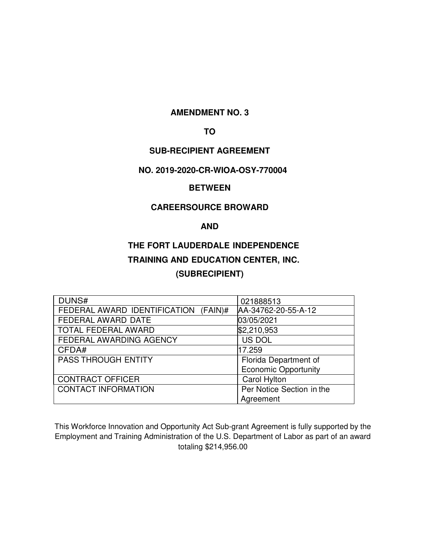# **AMENDMENT NO. 3**

# **TO**

# **SUB-RECIPIENT AGREEMENT**

## **NO. 2019-2020-CR-WIOA-OSY-770004**

# **BETWEEN**

# **CAREERSOURCE BROWARD**

# **AND**

# **THE FORT LAUDERDALE INDEPENDENCE TRAINING AND EDUCATION CENTER, INC. (SUBRECIPIENT)**

| DUNS#                                | 021888513                   |
|--------------------------------------|-----------------------------|
| FEDERAL AWARD IDENTIFICATION (FAIN)# | AA-34762-20-55-A-12         |
| FEDERAL AWARD DATE                   | 03/05/2021                  |
| <b>TOTAL FEDERAL AWARD</b>           | \$2,210,953                 |
| FEDERAL AWARDING AGENCY              | US DOL                      |
| CFDA#                                | 17.259                      |
| <b>PASS THROUGH ENTITY</b>           | Florida Department of       |
|                                      | <b>Economic Opportunity</b> |
| <b>CONTRACT OFFICER</b>              | <b>Carol Hylton</b>         |
| <b>CONTACT INFORMATION</b>           | Per Notice Section in the   |
|                                      | Agreement                   |

This Workforce Innovation and Opportunity Act Sub-grant Agreement is fully supported by the Employment and Training Administration of the U.S. Department of Labor as part of an award totaling \$214,956.00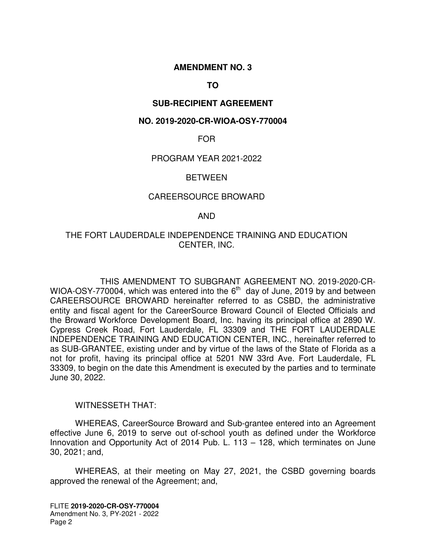# **AMENDMENT NO. 3**

# **TO**

# **SUB-RECIPIENT AGREEMENT**

### **NO. 2019-2020-CR-WIOA-OSY-770004**

### FOR

## PROGRAM YEAR 2021-2022

### **BETWEEN**

### CAREERSOURCE BROWARD

### AND

# THE FORT LAUDERDALE INDEPENDENCE TRAINING AND EDUCATION CENTER, INC.

THIS AMENDMENT TO SUBGRANT AGREEMENT NO. 2019-2020-CR-WIOA-OSY-770004, which was entered into the  $6<sup>th</sup>$  day of June, 2019 by and between CAREERSOURCE BROWARD hereinafter referred to as CSBD, the administrative entity and fiscal agent for the CareerSource Broward Council of Elected Officials and the Broward Workforce Development Board, Inc. having its principal office at 2890 W. Cypress Creek Road, Fort Lauderdale, FL 33309 and THE FORT LAUDERDALE INDEPENDENCE TRAINING AND EDUCATION CENTER, INC., hereinafter referred to as SUB-GRANTEE, existing under and by virtue of the laws of the State of Florida as a not for profit, having its principal office at 5201 NW 33rd Ave. Fort Lauderdale, FL 33309, to begin on the date this Amendment is executed by the parties and to terminate June 30, 2022.

# WITNESSETH THAT:

WHEREAS, CareerSource Broward and Sub-grantee entered into an Agreement effective June 6, 2019 to serve out of-school youth as defined under the Workforce Innovation and Opportunity Act of 2014 Pub. L. 113 – 128, which terminates on June 30, 2021; and,

WHEREAS, at their meeting on May 27, 2021, the CSBD governing boards approved the renewal of the Agreement; and,

FLITE **2019-2020-CR-OSY-770004**  Amendment No. 3, PY-2021 - 2022 Page 2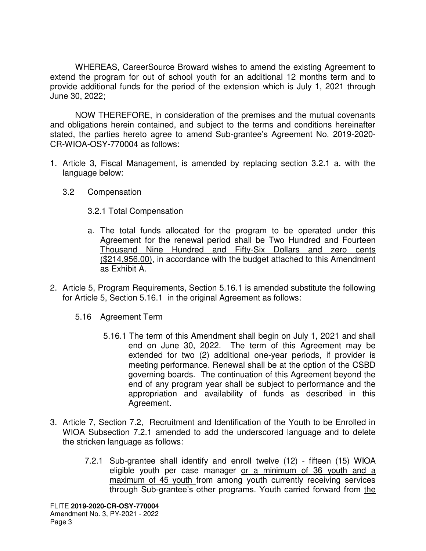WHEREAS, CareerSource Broward wishes to amend the existing Agreement to extend the program for out of school youth for an additional 12 months term and to provide additional funds for the period of the extension which is July 1, 2021 through June 30, 2022;

NOW THEREFORE, in consideration of the premises and the mutual covenants and obligations herein contained, and subject to the terms and conditions hereinafter stated, the parties hereto agree to amend Sub-grantee's Agreement No. 2019-2020- CR-WIOA-OSY-770004 as follows:

- 1. Article 3, Fiscal Management, is amended by replacing section 3.2.1 a. with the language below:
	- 3.2 Compensation

3.2.1 Total Compensation

- a. The total funds allocated for the program to be operated under this Agreement for the renewal period shall be Two Hundred and Fourteen Thousand Nine Hundred and Fifty-Six Dollars and zero cents (\$214,956.00), in accordance with the budget attached to this Amendment as Exhibit A.
- 2. Article 5, Program Requirements, Section 5.16.1 is amended substitute the following for Article 5, Section 5.16.1 in the original Agreement as follows:
	- 5.16 Agreement Term
		- 5.16.1 The term of this Amendment shall begin on July 1, 2021 and shall end on June 30, 2022. The term of this Agreement may be extended for two (2) additional one-year periods, if provider is meeting performance. Renewal shall be at the option of the CSBD governing boards. The continuation of this Agreement beyond the end of any program year shall be subject to performance and the appropriation and availability of funds as described in this Agreement.
- 3. Article 7, Section 7.2, Recruitment and Identification of the Youth to be Enrolled in WIOA Subsection 7.2.1 amended to add the underscored language and to delete the stricken language as follows:
	- 7.2.1 Sub-grantee shall identify and enroll twelve (12) fifteen (15) WIOA eligible youth per case manager or a minimum of 36 youth and a maximum of 45 youth from among youth currently receiving services through Sub-grantee's other programs. Youth carried forward from the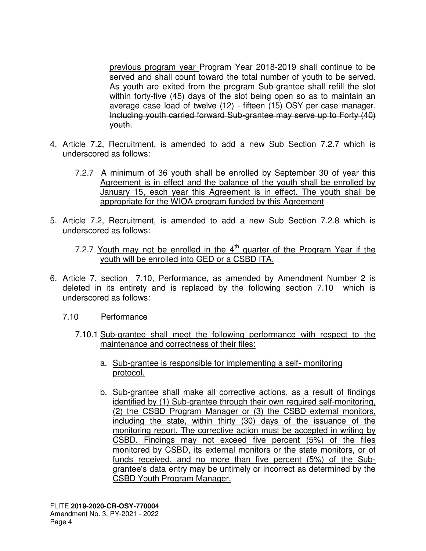previous program year Program Year 2018-2019 shall continue to be served and shall count toward the total number of youth to be served. As youth are exited from the program Sub-grantee shall refill the slot within forty-five (45) days of the slot being open so as to maintain an average case load of twelve (12) - fifteen (15) OSY per case manager. Including youth carried forward Sub-grantee may serve up to Forty (40) youth.

- 4. Article 7.2, Recruitment, is amended to add a new Sub Section 7.2.7 which is underscored as follows:
	- 7.2.7 A minimum of 36 youth shall be enrolled by September 30 of year this Agreement is in effect and the balance of the youth shall be enrolled by January 15, each year this Agreement is in effect. The youth shall be appropriate for the WIOA program funded by this Agreement
- 5. Article 7.2, Recruitment, is amended to add a new Sub Section 7.2.8 which is underscored as follows:
	- 7.2.7 Youth may not be enrolled in the  $4<sup>th</sup>$  quarter of the Program Year if the youth will be enrolled into GED or a CSBD ITA.
- 6. Article 7, section 7.10, Performance, as amended by Amendment Number 2 is deleted in its entirety and is replaced by the following section 7.10 which is underscored as follows:
	- 7.10 Performance
		- 7.10.1 Sub-grantee shall meet the following performance with respect to the maintenance and correctness of their files:
			- a. Sub-grantee is responsible for implementing a self- monitoring protocol.
			- b. Sub-grantee shall make all corrective actions, as a result of findings identified by (1) Sub-grantee through their own required self-monitoring, (2) the CSBD Program Manager or (3) the CSBD external monitors, including the state, within thirty (30) days of the issuance of the monitoring report. The corrective action must be accepted in writing by CSBD. Findings may not exceed five percent (5%) of the files monitored by CSBD, its external monitors or the state monitors, or of funds received, and no more than five percent (5%) of the Subgrantee's data entry may be untimely or incorrect as determined by the CSBD Youth Program Manager.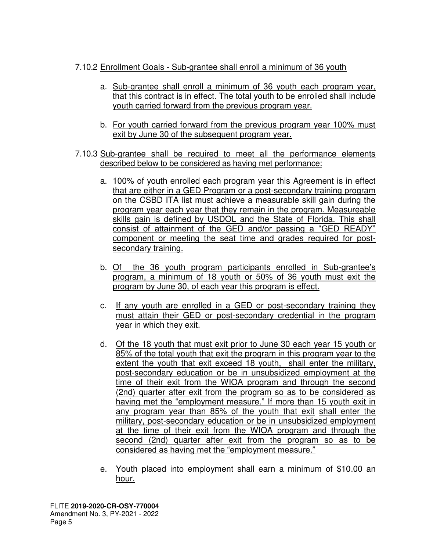# 7.10.2 Enrollment Goals - Sub-grantee shall enroll a minimum of 36 youth

- a. Sub-grantee shall enroll a minimum of 36 youth each program year, that this contract is in effect. The total youth to be enrolled shall include youth carried forward from the previous program year.
- b. For youth carried forward from the previous program year 100% must exit by June 30 of the subsequent program year.
- 7.10.3 Sub-grantee shall be required to meet all the performance elements described below to be considered as having met performance:
	- a. 100% of youth enrolled each program year this Agreement is in effect that are either in a GED Program or a post-secondary training program on the CSBD ITA list must achieve a measurable skill gain during the program year each year that they remain in the program. Measureable skills gain is defined by USDOL and the State of Florida. This shall consist of attainment of the GED and/or passing a "GED READY" component or meeting the seat time and grades required for postsecondary training.
	- b. Of the 36 youth program participants enrolled in Sub-grantee's program, a minimum of 18 youth or 50% of 36 youth must exit the program by June 30, of each year this program is effect.
	- c. If any youth are enrolled in a GED or post-secondary training they must attain their GED or post-secondary credential in the program year in which they exit.
	- d. Of the 18 youth that must exit prior to June 30 each year 15 youth or 85% of the total youth that exit the program in this program year to the extent the youth that exit exceed 18 youth, shall enter the military, post-secondary education or be in unsubsidized employment at the time of their exit from the WIOA program and through the second (2nd) quarter after exit from the program so as to be considered as having met the "employment measure." If more than 15 youth exit in any program year than 85% of the youth that exit shall enter the military, post-secondary education or be in unsubsidized employment at the time of their exit from the WIOA program and through the second (2nd) quarter after exit from the program so as to be considered as having met the "employment measure."
	- e. Youth placed into employment shall earn a minimum of \$10.00 an hour.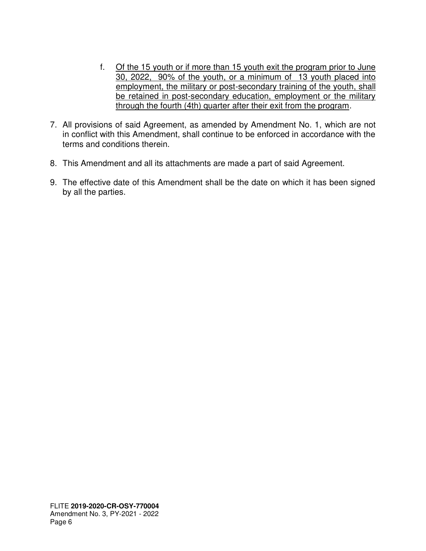- f. Of the 15 youth or if more than 15 youth exit the program prior to June 30, 2022, 90% of the youth, or a minimum of 13 youth placed into employment, the military or post-secondary training of the youth, shall be retained in post-secondary education, employment or the military through the fourth (4th) quarter after their exit from the program.
- 7. All provisions of said Agreement, as amended by Amendment No. 1, which are not in conflict with this Amendment, shall continue to be enforced in accordance with the terms and conditions therein.
- 8. This Amendment and all its attachments are made a part of said Agreement.
- 9. The effective date of this Amendment shall be the date on which it has been signed by all the parties.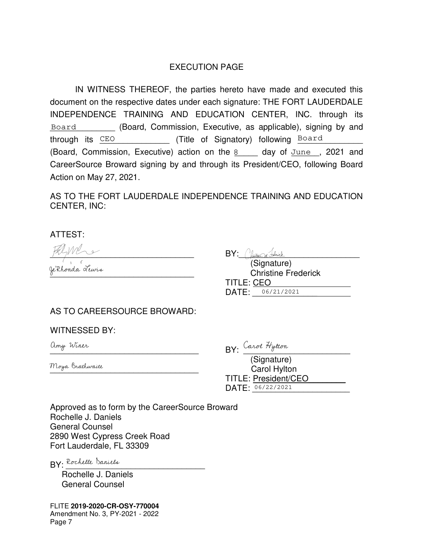# EXECUTION PAGE

IN WITNESS THEREOF, the parties hereto have made and executed this document on the respective dates under each signature: THE FORT LAUDERDALE INDEPENDENCE TRAINING AND EDUCATION CENTER, INC. through its Board \_\_\_\_\_\_\_\_ (Board, Commission, Executive, as applicable), signing by and through its CEO **CEO** (Title of Signatory) following Board (Board, Commission, Executive) action on the  $8$  equal of  $\text{June}$ , 2021 and CareerSource Broward signing by and through its President/CEO, following Board Action on May 27, 2021.

AS TO THE FORT LAUDERDALE INDEPENDENCE TRAINING AND EDUCATION CENTER, INC:

ATTEST:

BY: Chicha Adviser BY: Chicha Adviser (Signature)

(Signature) \_\_\_\_\_\_\_\_\_\_\_\_\_\_\_\_\_\_\_\_\_\_\_\_\_\_\_\_\_\_\_ Christine Frederick TITLE: CEO DATE: 06/21/2021

# AS TO CAREERSOURCE BROWARD:

WITNESSED BY:

 $BY:$  which  $BY:$   $QY:$   $QY:$   $QY:$ 

(Signature) \_\_\_\_\_\_\_\_\_\_\_\_\_\_\_\_\_\_\_\_\_\_\_\_\_\_\_\_\_\_\_\_ Carol Hylton TITLE: President/CEO DATE: 06/22/2021

Approved as to form by the CareerSource Broward Rochelle J. Daniels General Counsel 2890 West Cypress Creek Road Fort Lauderdale, FL 33309

BY: Rochelle Daniels

 Rochelle J. Daniels General Counsel

FLITE **2019-2020-CR-OSY-770004**  Amendment No. 3, PY-2021 - 2022 Page 7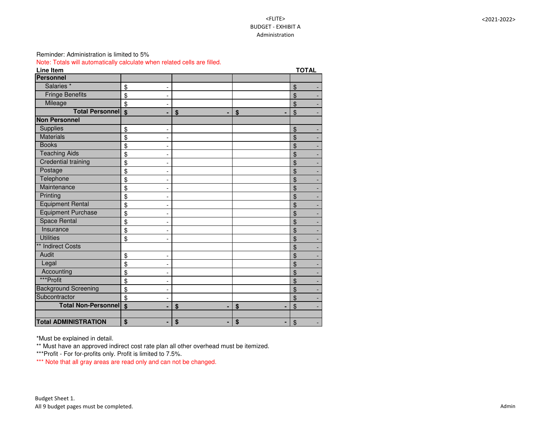# <FLITE> BUDGET - EXHIBIT A Administration

# Reminder: Administration is limited to 5%

Note: Totals will automatically calculate when related cells are filled.

| <b>Line Item</b>            |                                    |         |                           | <b>TOTAL</b>                                 |
|-----------------------------|------------------------------------|---------|---------------------------|----------------------------------------------|
| Personnel                   |                                    |         |                           |                                              |
| Salaries <sup>*</sup>       | \$                                 |         |                           | $\boldsymbol{\theta}$                        |
| <b>Fringe Benefits</b>      | \$                                 |         |                           | \$                                           |
| Mileage                     | $\boldsymbol{\mathsf{\$}}$         |         |                           | \$<br>$\sim$                                 |
| <b>Total Personnell</b>     | $\boldsymbol{\mathsf{s}}$          | \$<br>٠ | \$<br>-                   | \$                                           |
| <b>Non Personnel</b>        |                                    |         |                           |                                              |
| <b>Supplies</b>             | \$                                 |         |                           | $\mathfrak{S}$                               |
| <b>Materials</b>            | \$<br>$\overline{\phantom{a}}$     |         |                           | $\mathfrak{S}$<br>$\blacksquare$             |
| <b>Books</b>                | \$                                 |         |                           | \$                                           |
| <b>Teaching Aids</b>        | \$                                 |         |                           | $\mathfrak{S}$                               |
| <b>Credential training</b>  | \$                                 |         |                           | \$                                           |
| Postage                     | \$                                 |         |                           | $\frac{1}{2}$                                |
| Telephone                   | \$<br>$\blacksquare$               |         |                           | $\mathfrak{S}$<br>$\blacksquare$             |
| Maintenance                 | \$<br>$\overline{\phantom{a}}$     |         |                           | \$                                           |
| Printing                    | \$<br>-                            |         |                           | $\mathfrak{P}$<br>$\blacksquare$             |
| <b>Equipment Rental</b>     | \$<br>$\overline{\phantom{a}}$     |         |                           | \$                                           |
| <b>Equipment Purchase</b>   | \$<br>-                            |         |                           | $\mathfrak{S}$<br>$\blacksquare$             |
| <b>Space Rental</b>         | \$                                 |         |                           | \$                                           |
| Insurance                   | \$<br>$\blacksquare$               |         |                           | $\mathfrak{S}$                               |
| <b>Utilities</b>            | \$                                 |         |                           | $\mathfrak{S}$                               |
| ** Indirect Costs           |                                    |         |                           | \$                                           |
| Audit                       | \$<br>$\overline{\phantom{0}}$     |         |                           | \$<br>$\blacksquare$                         |
| Legal                       | \$<br>$\qquad \qquad \blacksquare$ |         |                           | \$                                           |
| Accounting                  | \$<br>$\overline{\phantom{a}}$     |         |                           | \$<br>$\blacksquare$                         |
| ***Profit                   | \$<br>$\overline{\phantom{a}}$     |         |                           | \$                                           |
| <b>Background Screening</b> | \$<br>$\blacksquare$               |         |                           | $\boldsymbol{\mathsf{\$}}$<br>$\blacksquare$ |
| Subcontractor               | \$                                 |         |                           | $\frac{1}{2}$                                |
| Total Non-Personnel \$      |                                    | \$<br>۰ | $\boldsymbol{\mathsf{s}}$ | $\mathfrak{S}$                               |
|                             |                                    |         |                           |                                              |
| <b>Total ADMINISTRATION</b> | \$                                 | \$<br>٠ | \$<br>٠                   | $\boldsymbol{\mathsf{\$}}$                   |

\*Must be explained in detail.

\*\* Must have an approved indirect cost rate plan all other overhead must be itemized.

\*\*\*Profit - For for-profits only. Profit is limited to 7.5%.

\*\*\* Note that all gray areas are read only and can not be changed.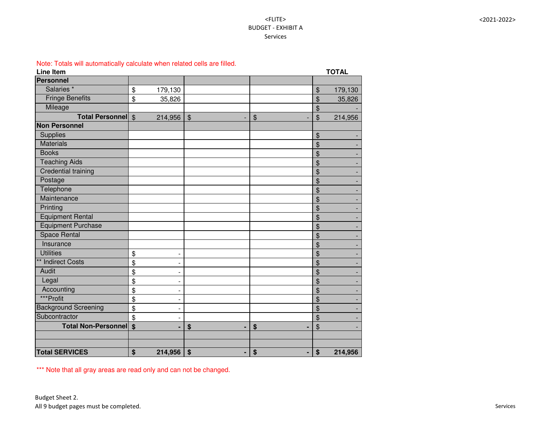# <FLITE> BUDGET - EXHIBIT A Services

Note: Totals will automatically calculate when related cells are filled.

| <b>Line Item</b>              |                            |         |                            |                            |                            | <b>TOTAL</b> |
|-------------------------------|----------------------------|---------|----------------------------|----------------------------|----------------------------|--------------|
| <b>Personnel</b>              |                            |         |                            |                            |                            |              |
| Salaries <sup>*</sup>         | $\boldsymbol{\mathsf{\$}}$ | 179,130 |                            |                            | $\boldsymbol{\mathcal{S}}$ | 179,130      |
| <b>Fringe Benefits</b>        | $\frac{1}{2}$              | 35,826  |                            |                            | \$                         | 35,826       |
| Mileage                       |                            |         |                            |                            | \$                         |              |
| Total Personnel \$            |                            | 214,956 | $\boldsymbol{\mathcal{S}}$ | $\boldsymbol{\mathsf{\$}}$ | $\boldsymbol{\mathsf{S}}$  | 214,956      |
| <b>Non Personnel</b>          |                            |         |                            |                            |                            |              |
| <b>Supplies</b>               |                            |         |                            |                            | \$                         |              |
| <b>Materials</b>              |                            |         |                            |                            | \$                         |              |
| <b>Books</b>                  |                            |         |                            |                            | \$                         |              |
| <b>Teaching Aids</b>          |                            |         |                            |                            | \$                         |              |
| <b>Credential training</b>    |                            |         |                            |                            | \$                         |              |
| Postage                       |                            |         |                            |                            | \$                         |              |
| Telephone                     |                            |         |                            |                            | \$                         |              |
| Maintenance                   |                            |         |                            |                            | \$                         |              |
| Printing                      |                            |         |                            |                            | \$                         |              |
| <b>Equipment Rental</b>       |                            |         |                            |                            | \$                         |              |
| <b>Equipment Purchase</b>     |                            |         |                            |                            | \$                         |              |
| <b>Space Rental</b>           |                            |         |                            |                            | \$                         |              |
| Insurance                     |                            |         |                            |                            | \$                         |              |
| <b>Utilities</b>              | $\boldsymbol{\theta}$      |         |                            |                            | \$                         |              |
| ** Indirect Costs             | \$                         |         |                            |                            | \$                         |              |
| Audit                         | \$                         |         |                            |                            | \$                         |              |
| Legal                         | \$                         |         |                            |                            | \$                         |              |
| Accounting                    | \$                         |         |                            |                            | \$                         |              |
| ***Profit                     | \$                         |         |                            |                            | \$                         |              |
| <b>Background Screening</b>   | \$                         |         |                            |                            | \$                         |              |
| Subcontractor                 | $\boldsymbol{\mathsf{\$}}$ |         |                            |                            | \$                         |              |
| <b>Total Non-Personnel \$</b> |                            |         | \$                         | \$                         | $\boldsymbol{\mathcal{L}}$ |              |
|                               |                            |         |                            |                            |                            |              |
|                               |                            |         |                            |                            |                            |              |
| <b>Total SERVICES</b>         | \$                         | 214,956 | \$<br>٠                    | \$<br>٠                    | $\boldsymbol{\$}$          | 214,956      |

\*\*\* Note that all gray areas are read only and can not be changed.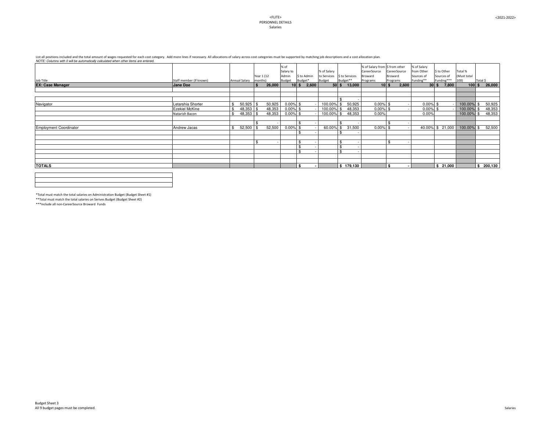| VOTE. OURINNIS WILL O WILL DE AULOHAIGAILY CAIGUALED WHEN OLIER ILENS ALE ENTERED. |                         |                 |            |        |               |                       |                              |                         |                               |              |              |             |                       |               |           |
|------------------------------------------------------------------------------------|-------------------------|-----------------|------------|--------|---------------|-----------------------|------------------------------|-------------------------|-------------------------------|--------------|--------------|-------------|-----------------------|---------------|-----------|
|                                                                                    |                         |                 |            |        | % of          |                       |                              |                         | % of Salary from S from other |              |              | % of Salary |                       |               |           |
|                                                                                    |                         |                 |            |        | Salary to     |                       | % of Salary                  |                         | CareerSource                  |              | CareerSource | from Other  | \$ to Other           | Total %       |           |
|                                                                                    |                         |                 | Year 1 (12 |        | Admin         | \$ to Admin           | to Services   \$ to Services |                         | <b>Broward</b>                | Broward      |              | Sources of  | Sources of            | (Must total   |           |
| Job Title                                                                          | Staff member (If known) | Annual Salary   | months)    |        | <b>Budget</b> | Budget*               | <b>Budget</b>                | Budget**                | Programs                      | Programs     |              | Funding**   | Funding***            | 100)          | Total \$  |
| <b>EX: Case Manager</b>                                                            |                         |                 |            |        |               |                       |                              |                         |                               |              |              |             |                       |               |           |
|                                                                                    | Jane Doe                |                 |            | 26,000 |               | $10 \mid$ \$<br>2,600 |                              | $50 $ \$ 13,000         |                               | $10 \mid$ \$ | 2,600        |             | $30 \mid$ \$<br>7,800 | $100$ \$      | 26,000    |
|                                                                                    |                         |                 |            |        |               |                       |                              |                         |                               |              |              |             |                       |               |           |
|                                                                                    |                         |                 |            |        |               |                       |                              |                         |                               |              |              |             |                       |               |           |
|                                                                                    |                         |                 |            |        |               |                       |                              |                         |                               |              |              |             |                       |               |           |
| Navigator                                                                          | Letarshia Shorter       | 50,925          |            | 50,925 | $0.00\%$ \$   |                       | 100.00%                      | 50,925                  | $0.00\%$ \$                   |              |              | $0.00\%$ \$ |                       | 100.00% \$    | 50,925    |
|                                                                                    | <b>Ezekiel McKine</b>   | $48,353$ \ \ \$ |            | 48,353 | $0.00\%$ \$   |                       | 100.00%                      | 48,353                  | $0.00\%$ \$                   |              |              | $0.00\%$ \$ |                       | 100.00% \$    | 48,353    |
|                                                                                    | Natarish Bacon          |                 |            | 48,353 | $0.00\%$ \$   |                       | 100.00%                      | 48,353                  | 0.00%                         |              |              | 0.00%       |                       | 100.00% \$    | 48,353    |
|                                                                                    |                         |                 |            |        |               |                       |                              |                         |                               |              |              |             |                       |               |           |
|                                                                                    |                         |                 |            |        |               |                       |                              |                         |                               |              |              |             |                       |               |           |
|                                                                                    |                         |                 |            |        |               |                       |                              |                         |                               |              |              |             |                       |               |           |
| <b>Employment Coordinator</b>                                                      | <b>Andrew Jacas</b>     | $52,500$ \ \$   |            | 52,500 | $0.00\%$ \$   |                       | 60.00%                       | 31,500<br>$\mathcal{L}$ | $0.00\%$ \$                   |              |              |             | $40.00\%$ \$ 21,000   | $100.00\%$ \$ | 52,500    |
|                                                                                    |                         |                 |            |        |               | \$                    |                              |                         |                               |              |              |             |                       |               |           |
|                                                                                    |                         |                 |            |        |               |                       |                              |                         |                               |              |              |             |                       |               |           |
|                                                                                    |                         |                 |            |        |               | $\mathfrak{B}$        |                              |                         |                               |              |              |             |                       |               |           |
|                                                                                    |                         |                 |            |        |               | $\mathfrak{L}$        |                              |                         |                               |              |              |             |                       |               |           |
|                                                                                    |                         |                 |            |        |               | $\mathfrak{F}$        |                              |                         |                               |              |              |             |                       |               |           |
|                                                                                    |                         |                 |            |        |               |                       |                              |                         |                               |              |              |             |                       |               |           |
|                                                                                    |                         |                 |            |        |               |                       |                              |                         |                               |              |              |             |                       |               |           |
| <b>TOTALS</b>                                                                      |                         |                 |            |        |               | $\mathbf{\hat{s}}$    |                              | \$179,130               |                               | \$           |              |             | \$21,000              |               | \$200,130 |
|                                                                                    |                         |                 |            |        |               |                       |                              |                         |                               |              |              |             |                       |               |           |
|                                                                                    |                         |                 |            |        |               |                       |                              |                         |                               |              |              |             |                       |               |           |
|                                                                                    |                         |                 |            |        |               |                       |                              |                         |                               |              |              |             |                       |               |           |

List all positions included and the total amount of wages requested for each cost category. Add more lines if necessary. All allocations of salary across cost categories must be supported by matching job descriptions and a *NOTE: Columns with 0 will be automatically calculated when other items are entered.*

\*Total must match the total salaries on Administration Budget (Budget Sheet #1)

\*\*Total must match the total salaries on Serives Budget (Budget Sheet #2)

\*\*\*Include all non-CareerSource Broward Funds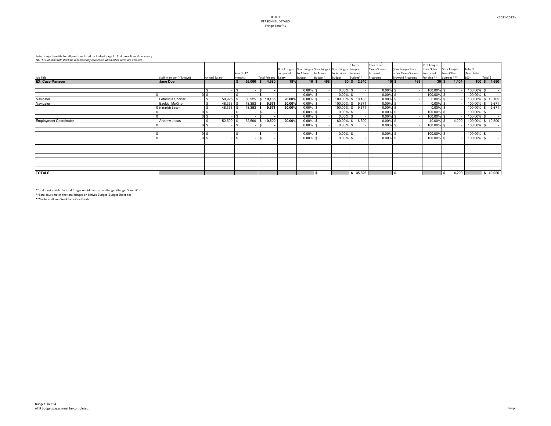| NOTE: Columns with 0 will be automatically calculated when other items are entered. |                         |                      |                     |                      |                      |             |                     |                                                                   |                      |                |                         |               |                       |               |                     |
|-------------------------------------------------------------------------------------|-------------------------|----------------------|---------------------|----------------------|----------------------|-------------|---------------------|-------------------------------------------------------------------|----------------------|----------------|-------------------------|---------------|-----------------------|---------------|---------------------|
|                                                                                     |                         |                      |                     |                      |                      |             |                     |                                                                   | $\frac{1}{2}$ to for | from other     |                         | % of Fringes  |                       |               |                     |
|                                                                                     |                         |                      |                     |                      |                      |             |                     | % of Fringes  % of Fringes \$ for fringes  % of Fringes   Fringes |                      | CareerSource   | \$ for Fringes from     | from Other    | \$ for Fringes        | Total %       |                     |
|                                                                                     |                         |                      | Year 1 (12          |                      | compared to to Admin |             | to Admin            | to Services                                                       | Services             | <b>Broward</b> | other CareerSource      | Sources of    | from Other            | (Must total   |                     |
| Job Title                                                                           | Staff member (If known) | <b>Annual Salary</b> | months)             | Total Fringes Salary |                      | Budget      | Budget*             | Budget                                                            | Budget**             | Programs       | <b>Broward Programs</b> | Funding **    | Sources ***           | 100)          | Total \$            |
| <b>EX: Case Manager</b>                                                             | Jane Doe                |                      | $26,000$ \$<br>l \$ | 4,680                | 18%                  |             | $10 \mid$ \$<br>468 |                                                                   | $50$   \$<br>2,340   |                | $10 \mid$ \$<br>468     |               | $30 \mid$ \$<br>1,404 |               | $100 \,$ \$ 4,680   |
|                                                                                     |                         |                      |                     |                      |                      |             |                     |                                                                   |                      |                |                         |               |                       |               |                     |
|                                                                                     |                         |                      |                     | \$                   |                      | $0.00\%$ \$ |                     | $0.00\%$ \$                                                       |                      | $0.00\%$       |                         | $100.00\%$ \$ |                       | $100.00\%$ \$ |                     |
|                                                                                     |                         |                      |                     |                      |                      | $0.00\%$ \$ |                     | $0.00\%$ \$                                                       |                      | 0.00%          |                         | 100.00% \$    |                       | $100.00\%$ \$ |                     |
| Navigator                                                                           | Letarshia Shorter       | 50,925               | 50,925              | 10,185<br>l \$       | 20.00%               | $0.00\%$ \$ |                     |                                                                   | $100.00\%$ \$ 10,185 | $0.00\%$       |                         | $0.00\%$ \$   |                       |               | 100.00% \$10,185    |
| Navigator                                                                           | Ezekiel McKine          | 48,353               | $48,353$ \ \ \$     | 9,671                | 20.00%               | $0.00\%$ \$ |                     | $100.00\%$ \$                                                     | 9,671                | $0.00\%$       |                         | $0.00\%$ \$   |                       |               | $100.00\%$ \$ 9,671 |
|                                                                                     | Natarish Bacon          | 48,353               | $48,353$ \$         | 9,671                | 20.00%               | $0.00\%$ \$ |                     |                                                                   | $100.00\%$ \$ 9,671  | $0.00\%$ \$    |                         | $0.00\%$ \$   |                       |               | $100.00\%$ \$ 9,671 |
|                                                                                     |                         | $0 \,$ $\upbeta$     |                     | - 35                 |                      | $0.00\%$ \$ |                     | $0.00\%$ \$                                                       |                      | $0.00\%$       |                         | $100.00\%$ \$ |                       | $100.00\%$ \$ |                     |
|                                                                                     |                         |                      |                     |                      |                      | $0.00\%$ \$ |                     | $0.00\%$ \$                                                       |                      | $0.00\%$       |                         | $100.00\%$ \$ |                       | $100.00\%$ \$ |                     |
| <b>Employment Coordinator</b>                                                       | Andrew Jacas            | 52,500               | 52,500              | 10,500<br>\$         | 20.00%               | $0.00\%$ \$ |                     | $60.00\%$ \$                                                      | 6,300                | 0.00%          |                         | 40.00% \$     | 4,200                 |               | 100.00% \$10,500    |
|                                                                                     |                         | $0 \text{ s}$        |                     | - \$                 |                      | $0.00\%$ \$ |                     | $0.00\%$ \$                                                       |                      | $0.00\%$       |                         | 100.00% \$    |                       | $100.00\%$ \$ |                     |
|                                                                                     |                         |                      |                     |                      |                      |             |                     |                                                                   |                      |                |                         |               |                       |               |                     |
|                                                                                     |                         | $0 \,$ \$            | $-1$ \$             | <b>S</b>             |                      | $0.00\%$ \$ |                     | $0.00\%$ \$                                                       |                      | $0.00\%$ \$    |                         | 100.00% \$    |                       | $100.00\%$ \$ | $\sim$              |
|                                                                                     |                         | $0 \,$ $\upbeta$     | $\mathfrak{L}$      | \$                   |                      | $0.00\%$ \$ |                     | $0.00\%$ \$                                                       |                      | $0.00\%$ \$    |                         | $100.00\%$ \$ |                       | $100.00\%$ \$ |                     |
|                                                                                     |                         |                      |                     |                      |                      |             |                     |                                                                   |                      |                |                         |               |                       |               |                     |
|                                                                                     |                         |                      |                     |                      |                      |             |                     |                                                                   |                      |                |                         |               |                       |               |                     |
|                                                                                     |                         |                      |                     |                      |                      |             |                     |                                                                   |                      |                |                         |               |                       |               |                     |
|                                                                                     |                         |                      |                     |                      |                      |             |                     |                                                                   |                      |                |                         |               |                       |               |                     |
|                                                                                     |                         |                      |                     |                      |                      |             |                     |                                                                   |                      |                |                         |               |                       |               |                     |
|                                                                                     |                         |                      |                     |                      |                      |             |                     |                                                                   |                      |                |                         |               |                       |               |                     |
|                                                                                     |                         |                      |                     |                      |                      |             |                     |                                                                   |                      |                |                         |               |                       |               |                     |
| <b>TOTALS</b>                                                                       |                         |                      |                     |                      |                      |             | $$^{\circ}$         |                                                                   | \$35,826             |                |                         |               | 4,200                 |               | \$40,026            |

\*Total must match the total fringes on Administration Budget (Budget Sheet #1) \*\*Total must match the total fringes on Serives Budget (Budget Sheet #2)

\*\*\*Include all non-WorkForce One Funds

# Enter fringe benefits for all positions listed on Budget page 4. Add more lines if necessary.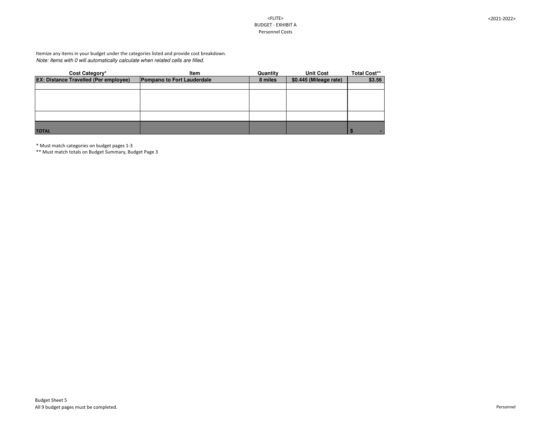# <FLITE> BUDGET - EXHIBIT A Personnel Costs

<2021-2022>

| <b>Cost Category*</b>                        | Item                              | Quantity | <b>Unit Cost</b>       | <b>Total Cost**</b> |
|----------------------------------------------|-----------------------------------|----------|------------------------|---------------------|
| <b>EX: Distance Travelled (Per employee)</b> | <b>Pompano to Fort Lauderdale</b> | 8 miles  | \$0.445 (Mileage rate) | \$3.56              |
|                                              |                                   |          |                        |                     |
|                                              |                                   |          |                        |                     |
|                                              |                                   |          |                        |                     |
|                                              |                                   |          |                        |                     |
|                                              |                                   |          |                        |                     |
|                                              |                                   |          |                        |                     |
| <b>TOTAL</b>                                 |                                   |          |                        | $\bullet$           |

*Note: Items with 0 will automatically calculate when related cells are filled.* Itemize any items in your budget under the categories listed and provide cost breakdown.

\* Must match categories on budget pages 1-3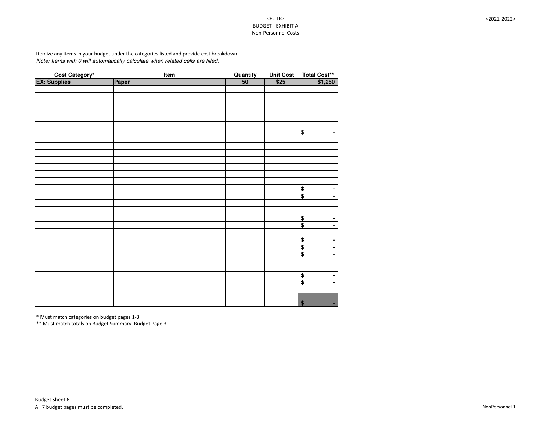# <FLITE> BUDGET - EXHIBIT A Non-Personnel Costs

```
<2021-2022>
```

|                                       | <b>Item</b> | <b>Quantity</b> | <b>Unit Cost</b> |                                             |
|---------------------------------------|-------------|-----------------|------------------|---------------------------------------------|
| <b>Cost Category*</b><br>EX: Supplies | Paper       | 50              | \$25             | Total Cost**<br>  \$1,250                   |
|                                       |             |                 |                  |                                             |
|                                       |             |                 |                  |                                             |
|                                       |             |                 |                  |                                             |
|                                       |             |                 |                  |                                             |
|                                       |             |                 |                  |                                             |
|                                       |             |                 |                  |                                             |
|                                       |             |                 |                  | $\frac{1}{2}$<br>$\blacksquare$             |
|                                       |             |                 |                  |                                             |
|                                       |             |                 |                  |                                             |
|                                       |             |                 |                  |                                             |
|                                       |             |                 |                  |                                             |
|                                       |             |                 |                  |                                             |
|                                       |             |                 |                  |                                             |
|                                       |             |                 |                  |                                             |
|                                       |             |                 |                  | $\boldsymbol{\$}$<br>$\blacksquare$         |
|                                       |             |                 |                  | $\bullet$<br>$\blacksquare$                 |
|                                       |             |                 |                  |                                             |
|                                       |             |                 |                  |                                             |
|                                       |             |                 |                  | $$$<br>$\blacksquare$                       |
|                                       |             |                 |                  | $\overline{\$}$<br>$\blacksquare$           |
|                                       |             |                 |                  |                                             |
|                                       |             |                 |                  | $\frac{1}{2}$<br>۰                          |
|                                       |             |                 |                  | $\overline{\$}$<br>$\blacksquare$           |
|                                       |             |                 |                  | $\overline{\mathbf{\$}}$<br>٠               |
|                                       |             |                 |                  |                                             |
|                                       |             |                 |                  |                                             |
|                                       |             |                 |                  | $\blacksquare$                              |
|                                       |             |                 |                  | $\frac{\$}{\$}$<br>$\blacksquare$           |
|                                       |             |                 |                  |                                             |
|                                       |             |                 |                  |                                             |
|                                       |             |                 |                  | $\boldsymbol{\mathsf{s}}$<br>$\blacksquare$ |

*Note: Items with 0 will automatically calculate when related cells are filled.* Itemize any items in your budget under the categories listed and provide cost breakdown.

\* Must match categories on budget pages 1-3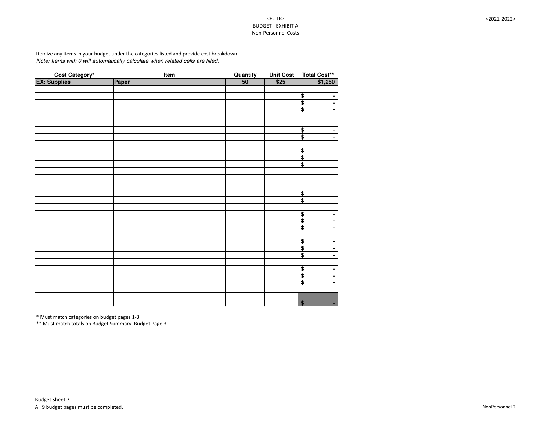# <FLITE> BUDGET - EXHIBIT A Non-Personnel Costs

```
<2021-2022>
```

|                                       | <b>Item</b> | <b>Quantity</b> | <b>Unit Cost</b> |                                            |
|---------------------------------------|-------------|-----------------|------------------|--------------------------------------------|
| <b>Cost Category*</b><br>EX: Supplies | Paper       | $\overline{50}$ | \$25             | Total Cost**<br>\$1,250                    |
|                                       |             |                 |                  |                                            |
|                                       |             |                 |                  | $\blacksquare$                             |
|                                       |             |                 |                  | $\frac{1}{2}$<br>$\blacksquare$            |
|                                       |             |                 |                  | $\blacksquare$                             |
|                                       |             |                 |                  |                                            |
|                                       |             |                 |                  |                                            |
|                                       |             |                 |                  | $\overline{\$}$<br>$\blacksquare$          |
|                                       |             |                 |                  | $\overline{\mathcal{L}}$<br>$\blacksquare$ |
|                                       |             |                 |                  |                                            |
|                                       |             |                 |                  | $\blacksquare$                             |
|                                       |             |                 |                  | $\frac{1}{2}$<br>$\blacksquare$            |
|                                       |             |                 |                  | $\blacksquare$                             |
|                                       |             |                 |                  |                                            |
|                                       |             |                 |                  |                                            |
|                                       |             |                 |                  |                                            |
|                                       |             |                 |                  |                                            |
|                                       |             |                 |                  | $\frac{6}{9}$                              |
|                                       |             |                 |                  | $\overline{\phantom{a}}$                   |
|                                       |             |                 |                  |                                            |
|                                       |             |                 |                  | $\frac{6}{9}$<br>$\blacksquare$            |
|                                       |             |                 |                  | $\blacksquare$                             |
|                                       |             |                 |                  | $\overline{\$}$<br>$\blacksquare$          |
|                                       |             |                 |                  |                                            |
|                                       |             |                 |                  | $\blacksquare$                             |
|                                       |             |                 |                  | $\blacksquare$                             |
|                                       |             |                 |                  | $\frac{1}{2}$<br>$\blacksquare$            |
|                                       |             |                 |                  |                                            |
|                                       |             |                 |                  | $\blacksquare$                             |
|                                       |             |                 |                  | $\frac{1}{2}$<br>$\blacksquare$            |
|                                       |             |                 |                  | $\blacksquare$                             |
|                                       |             |                 |                  |                                            |
|                                       |             |                 |                  |                                            |
|                                       |             |                 |                  | $\boldsymbol{\theta}$<br>٠                 |

*Note: Items with 0 will automatically calculate when related cells are filled.* Itemize any items in your budget under the categories listed and provide cost breakdown.

\* Must match categories on budget pages 1-3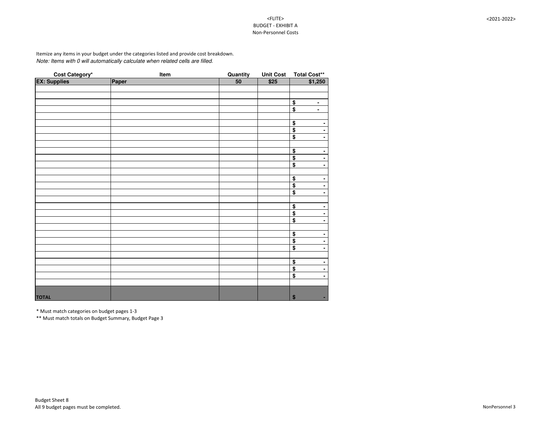# <FLITE> BUDGET - EXHIBIT A Non-Personnel Costs

<2021-2022>

| <b>Cost Category*</b><br>EX: Supplies | <u>Item</u> | Quantity        | <b>Unit Cost</b> | Total Cost**                                           |
|---------------------------------------|-------------|-----------------|------------------|--------------------------------------------------------|
|                                       | Paper       | $\overline{50}$ | \$25             | \$1,250                                                |
|                                       |             |                 |                  |                                                        |
|                                       |             |                 |                  |                                                        |
|                                       |             |                 |                  | $\blacksquare$                                         |
|                                       |             |                 |                  | $\frac{6}{3}$<br>$\blacksquare$                        |
|                                       |             |                 |                  |                                                        |
|                                       |             |                 |                  | $\bullet$                                              |
|                                       |             |                 |                  | $\frac{\$}{\$}$<br>$\blacksquare$                      |
|                                       |             |                 |                  | $\blacksquare$                                         |
|                                       |             |                 |                  |                                                        |
|                                       |             |                 |                  | $\bullet$<br>$\blacksquare$                            |
|                                       |             |                 |                  | $\overline{\$}$<br>$\blacksquare$                      |
|                                       |             |                 |                  | $\overline{\$}$<br>$\blacksquare$                      |
|                                       |             |                 |                  |                                                        |
|                                       |             |                 |                  | $\bullet$<br>۰                                         |
|                                       |             |                 |                  | $\overline{\mathbf{\$}}$<br>$\blacksquare$             |
|                                       |             |                 |                  | $\overline{\$}$<br>$\blacksquare$                      |
|                                       |             |                 |                  |                                                        |
|                                       |             |                 |                  | $\bullet$<br>$\blacksquare$                            |
|                                       |             |                 |                  | $\overline{\$}$<br>$\blacksquare$                      |
|                                       |             |                 |                  | $\overline{\boldsymbol{\mathsf{S}}}$<br>$\blacksquare$ |
|                                       |             |                 |                  |                                                        |
|                                       |             |                 |                  | $\overline{\$}$<br>۰                                   |
|                                       |             |                 |                  | $\overline{\mathbf{S}}$<br>$\blacksquare$              |
|                                       |             |                 |                  | $\overline{\mathbf{3}}$<br>$\blacksquare$              |
|                                       |             |                 |                  |                                                        |
|                                       |             |                 |                  | $\blacksquare$                                         |
|                                       |             |                 |                  | $\frac{\$}{\$}$<br>$\blacksquare$                      |
|                                       |             |                 |                  | $\overline{\boldsymbol{\mathsf{S}}}$<br>$\blacksquare$ |
|                                       |             |                 |                  |                                                        |
|                                       |             |                 |                  |                                                        |
| <b>TOTAL</b>                          |             |                 |                  | $\boldsymbol{\$}$<br>$\sim$                            |

*Note: Items with 0 will automatically calculate when related cells are filled.* Itemize any items in your budget under the categories listed and provide cost breakdown.

\* Must match categories on budget pages 1-3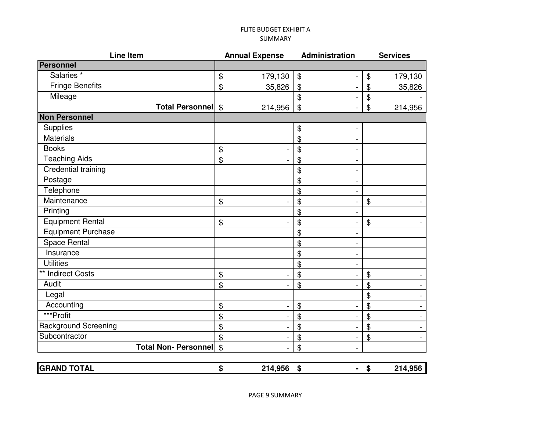# FLITE BUDGET EXHIBIT A SUMMARY

| <b>Line Item</b>            | <b>Annual Expense</b>    | Administration                                         | <b>Services</b>                       |
|-----------------------------|--------------------------|--------------------------------------------------------|---------------------------------------|
| Personnel                   |                          |                                                        |                                       |
| Salaries <sup>*</sup>       | \$<br>179,130            | $\frac{1}{2}$                                          | $\boldsymbol{\theta}$<br>179,130      |
| <b>Fringe Benefits</b>      | $\mathfrak{S}$<br>35,826 | $\mathfrak{S}$                                         | $\mathfrak{S}$<br>35,826              |
| Mileage                     |                          | $\boldsymbol{\mathsf{\$}}$<br>$\blacksquare$           | $\boldsymbol{\theta}$                 |
| Total Personnel \$          | 214,956                  | $\mathfrak{S}$                                         | $\boldsymbol{\mathsf{\$}}$<br>214,956 |
| <b>Non Personnel</b>        |                          |                                                        |                                       |
| Supplies                    |                          | \$                                                     |                                       |
| <b>Materials</b>            |                          | $\mathfrak{P}$                                         |                                       |
| <b>Books</b>                | \$                       | $\boldsymbol{\mathsf{\$}}$                             |                                       |
| <b>Teaching Aids</b>        | \$                       | $\mathfrak{P}$                                         |                                       |
| Credential training         |                          | $\boldsymbol{\mathsf{\$}}$                             |                                       |
| Postage                     |                          | \$                                                     |                                       |
| Telephone                   |                          | \$<br>$\blacksquare$                                   |                                       |
| Maintenance                 | $\mathfrak{F}$           | $\boldsymbol{\mathsf{\$}}$<br>$\blacksquare$           | $\boldsymbol{\mathsf{\$}}$            |
| Printing                    |                          | $\mathfrak{S}$                                         |                                       |
| <b>Equipment Rental</b>     | $\mathfrak{F}$           | $\mathfrak{S}$<br>$\blacksquare$                       | $\boldsymbol{\mathsf{\$}}$            |
| <b>Equipment Purchase</b>   |                          | $\boldsymbol{\mathsf{\$}}$                             |                                       |
| <b>Space Rental</b>         |                          | $\frac{1}{2}$                                          |                                       |
| Insurance                   |                          | $\mathfrak{S}$<br>$\blacksquare$                       |                                       |
| <b>Utilities</b>            |                          | \$<br>$\blacksquare$                                   |                                       |
| ** Indirect Costs           | $\mathfrak{F}$           | $\boldsymbol{\mathsf{\$}}$<br>Ξ                        | $\boldsymbol{\mathcal{L}}$            |
| Audit                       | $\mathfrak{S}$           | $\boldsymbol{\mathsf{\$}}$<br>$\overline{\phantom{a}}$ | $\boldsymbol{\mathcal{L}}$            |
| Legal                       |                          |                                                        | $\boldsymbol{\mathsf{\$}}$            |
| Accounting                  | \$                       | $\boldsymbol{\mathsf{\$}}$                             | $\boldsymbol{\mathsf{\$}}$            |
| ***Profit                   | \$                       | $\frac{1}{2}$                                          | $\boldsymbol{\mathsf{\$}}$            |
| <b>Background Screening</b> | \$                       | $\boldsymbol{\mathsf{\$}}$<br>$\overline{a}$           | $\boldsymbol{\mathcal{L}}$            |
| Subcontractor               | \$                       | $\frac{1}{2}$<br>$\blacksquare$                        | $\boldsymbol{\mathcal{L}}$            |
| <b>Total Non- Personnel</b> | $\mathfrak{F}$           | $\mathfrak{S}$                                         |                                       |
|                             |                          |                                                        |                                       |
| <b>GRAND TOTAL</b>          | \$<br>214,956            | \$<br>$\blacksquare$                                   | \$<br>214,956                         |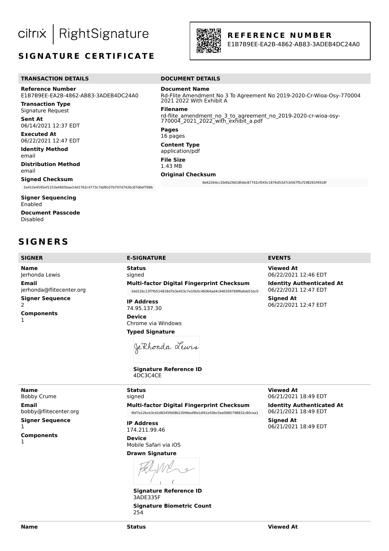RightSignature citrix

# **SIGNATURE CERTIFICATE**



**R E F E R E N C E N U M B E R**

E1B7B9EE-EA2B-4862-AB83-3ADEB4DC24A0

### **TRANSACTION DETAILS DOCUMENT DETAILS**

**Reference Number** E1B7B9EE-EA2B-4862-AB83-3ADEB4DC24A0

**Transaction Type** Signature Request

**Sent At** 06/14/2021 12:37 EDT

**Executed At** 06/22/2021 12:47 EDT

**Identity Method** email

**Distribution Method** email

### **Signed Checksum**

2e412e4595ef1153a4605bae14d1762c4773c7dd9c07b707d7426c87d0ef769b

**Signer Sequencing** Enabled **Document Passcode** Disabled

# **S I G N E R S**

**Name** Jerhonda Lewis **Email** jerhonda@flitecenter.org **Signer Sequence** 2 **Components** 1

**Document Name** Rd-Flite Amendment No 3 To Agreement No 2019-2020-Cr-Wioa-Osy-770004 2021 2022 With Exhibit A

**Filename**

rd-flite amendment no 3 to agreement no 2019-2020-cr-wioa-osy-770004\_2021\_2022\_with\_exhibit\_a.pdf

**Pages** 16 pages

**Content Type**

application/pdf

**File Size** 1.43 MB

**Original Checksum**

8e62264cc30dfa29d18fddc87742cf045c1876d53d7cb567f5cf198291f4918f

**Status** signed **Multi-factor Digital Fingerprint Checksum** 3dd12bc13f7fb514818d7b3e453c7e10b5c46064ad4c946359768f6afeb51bc0

**IP Address** 74.95.137.30

**Device** Chrome via Windows **Typed Signature**

Je Rhonda Lewis

**Signature Reference ID** 4DC3C4CE

#### **SIGNER E-SIGNATURE EVENTS**

**Viewed At** 06/22/2021 12:46 EDT

**Identity Authenticated At** 06/22/2021 12:47 EDT **Signed At** 06/22/2021 12:47 EDT

**Name** Bobby Crume **Email** bobby@flitecenter.org **Signer Sequence** 

1 **Components**

1

signed **Multi-factor Digital Fingerprint Checksum** 9bf7a12bcb3cd1d8345fb08b23096ed9fe1df41e50bc5ee0985798832c80cea1

**IP Address** 174.211.99.46

**Status**

**Device** Mobile Safari via iOS

# **Drawn Signature**

 $\epsilon$ 

**Signature Reference ID** 3ADE335F **Signature Biometric Count** 254

**Viewed At** 06/21/2021 18:49 EDT

**Identity Authenticated At** 06/21/2021 18:49 EDT

**Signed At** 06/21/2021 18:49 EDT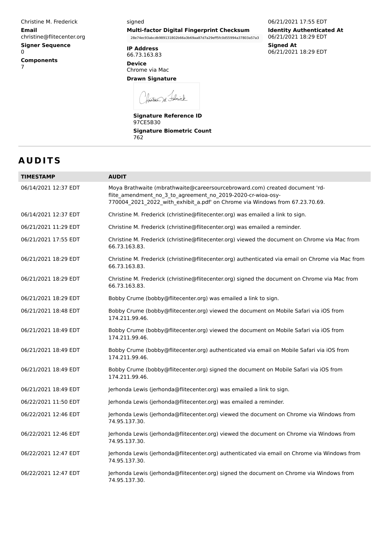Christine M. Frederick **Email** christine@flitecenter.org **Signer Sequence** 0 **Components** 7

### signed **Multi-factor Digital Fingerprint Checksum**

28e74ec93abcdb989131802b66a3b69aa87d7a29eff5fc0d55994a37803a57a3

**IP Address** 66.73.163.83

**Device** Chrome via Mac

**Drawn Signature**

fristine M. Folick

**Signature Reference ID** 97CE5B30 **Signature Biometric Count** 762

# **A U D I T S**

| <b>TIMESTAMP</b>     | <b>AUDIT</b>                                                                                                                                                                                                               |
|----------------------|----------------------------------------------------------------------------------------------------------------------------------------------------------------------------------------------------------------------------|
| 06/14/2021 12:37 EDT | Moya Brathwaite (mbrathwaite@careersourcebroward.com) created document 'rd-<br>flite_amendment_no_3_to_agreement_no_2019-2020-cr-wioa-osy-<br>770004_2021_2022_with_exhibit_a.pdf' on Chrome via Windows from 67.23.70.69. |
| 06/14/2021 12:37 EDT | Christine M. Frederick (christine@flitecenter.org) was emailed a link to sign.                                                                                                                                             |
| 06/21/2021 11:29 EDT | Christine M. Frederick (christine@flitecenter.org) was emailed a reminder.                                                                                                                                                 |
| 06/21/2021 17:55 EDT | Christine M. Frederick (christine@flitecenter.org) viewed the document on Chrome via Mac from<br>66.73.163.83.                                                                                                             |
| 06/21/2021 18:29 EDT | Christine M. Frederick (christine@flitecenter.org) authenticated via email on Chrome via Mac from<br>66.73.163.83.                                                                                                         |
| 06/21/2021 18:29 EDT | Christine M. Frederick (christine@flitecenter.org) signed the document on Chrome via Mac from<br>66.73.163.83.                                                                                                             |
| 06/21/2021 18:29 EDT | Bobby Crume (bobby@flitecenter.org) was emailed a link to sign.                                                                                                                                                            |
| 06/21/2021 18:48 EDT | Bobby Crume (bobby@flitecenter.org) viewed the document on Mobile Safari via iOS from<br>174.211.99.46.                                                                                                                    |
| 06/21/2021 18:49 EDT | Bobby Crume (bobby@flitecenter.org) viewed the document on Mobile Safari via iOS from<br>174.211.99.46.                                                                                                                    |
| 06/21/2021 18:49 EDT | Bobby Crume (bobby@flitecenter.org) authenticated via email on Mobile Safari via iOS from<br>174.211.99.46.                                                                                                                |
| 06/21/2021 18:49 EDT | Bobby Crume (bobby@flitecenter.org) signed the document on Mobile Safari via iOS from<br>174.211.99.46.                                                                                                                    |
| 06/21/2021 18:49 EDT | Jerhonda Lewis (jerhonda@flitecenter.org) was emailed a link to sign.                                                                                                                                                      |
| 06/22/2021 11:50 EDT | Jerhonda Lewis (jerhonda@flitecenter.org) was emailed a reminder.                                                                                                                                                          |
| 06/22/2021 12:46 EDT | Jerhonda Lewis (jerhonda@flitecenter.org) viewed the document on Chrome via Windows from<br>74.95.137.30.                                                                                                                  |
| 06/22/2021 12:46 EDT | Jerhonda Lewis (jerhonda@flitecenter.org) viewed the document on Chrome via Windows from<br>74.95.137.30.                                                                                                                  |
| 06/22/2021 12:47 EDT | Jerhonda Lewis (jerhonda@flitecenter.org) authenticated via email on Chrome via Windows from<br>74.95.137.30.                                                                                                              |
| 06/22/2021 12:47 EDT | Jerhonda Lewis (jerhonda@flitecenter.org) signed the document on Chrome via Windows from<br>74.95.137.30.                                                                                                                  |

06/21/2021 17:55 EDT **Identity Authenticated At** 06/21/2021 18:29 EDT **Signed At** 06/21/2021 18:29 EDT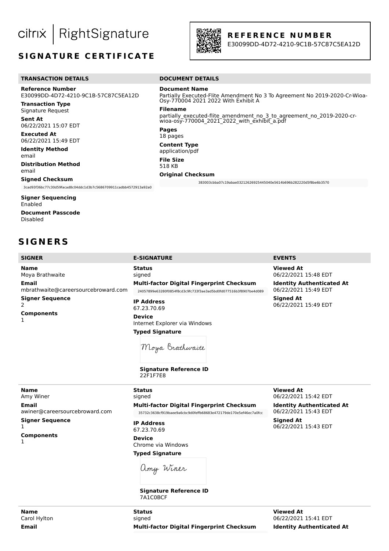RightSignature citrix

# **SIGNATURE CERTIFICATE**



Osy-770004 2021 2022 With Exhibit A

wioa-osy-770004\_2021\_2022\_with\_exhibit\_a.pdf

**Document Name**

**Original Checksum**

**Filename**

**Pages** 18 pages **Content Type** application/pdf **File Size** 518 KB

#### **R E F E R E N C E N U M B E R**

Partially Executed-Flite Amendment No 3 To Agreement No 2019-2020-Cr-Wioa-

383003cbba07c19abae03212626925445040e5614b696b282220d5f8be6b3570

partially\_executed-flite\_amendment\_no\_3\_to\_agreement\_no\_2019-2020-cr-

E30099DD-4D72-4210-9C1B-57C87C5EA12D

#### **TRANSACTION DETAILS** DOCUMENT DETAILS

**Reference Number** E30099DD-4D72-4210-9C1B-57C87C5EA12D

**Transaction Type** Signature Request

**Sent At** 06/22/2021 15:07 EDT

**Executed At** 06/22/2021 15:49 EDT

**Identity Method** email

**Distribution Method** email

#### **Signed Checksum**

3cad93f36bc77c30d59facad8c04ddc1d3b7c5686709911cadbb4572913a92a0

**Signer Sequencing** Enabled **Document Passcode** Disabled

**S I G N E R S**

#### **SIGNER E-SIGNATURE EVENTS**

**Name** Moya Brathwaite **Email** mbrathwaite@careersourcebroward.com **Signer Sequence** 2 **Components** 1

**Status** signed **Multi-factor Digital Fingerprint Checksum** 24057899e63280f0854f8cd3c9fc733f3ae3ad5bd0fd077516b3f8907be4d089

**IP Address** 67.23.70.69

**Device** Internet Explorer via Windows **Typed Signature**

**Viewed At**

**Signed At** 

06/22/2021 15:42 EDT **Identity Authenticated At** 06/22/2021 15:43 EDT

06/22/2021 15:43 EDT

**Viewed At** 06/22/2021 15:48 EDT

**Identity Authenticated At** 06/22/2021 15:49 EDT

**Signed At** 06/22/2021 15:49 EDT

Moya Brathwaite

**Signature Reference ID** 22F1F7E8

**Name** Amy Winer **Email** awiner@careersourcebroward.com **Signer Sequence** 1

**Components**

1

**Name** Carol Hylton **Email**

**Multi-factor Digital Fingerprint Checksum** 35732c3638cf919baee9a6cbc9d0feffb68683e472179de170e5ef46ec7a0fcc

**IP Address** 67.23.70.69 **Device**

**Status** signed

Chrome via Windows **Typed Signature**

amy Winer

**Signature Reference ID** 7A1C0BCF

**Status** signed **Multi-factor Digital Fingerprint Checksum**

**Viewed At** 06/22/2021 15:41 EDT **Identity Authenticated At**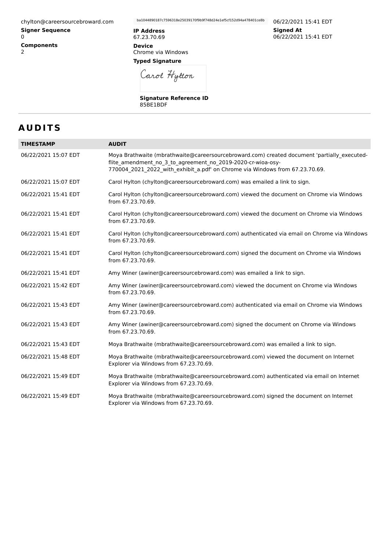chylton@careersourcebroward.com

**Signer Sequence** 0 **Components** 2

ba1044890187c7596318e25039170f9b9f748d24e1ef5cf152d94a478401ce8b

**IP Address** 67.23.70.69 **Device**

Chrome via Windows **Typed Signature**

Carol Hytton

**Signature Reference ID** 85BE1BDF

06/22/2021 15:41 EDT **Signed At** 06/22/2021 15:41 EDT

# **A U D I T S**

| <b>TIMESTAMP</b>     | <b>AUDIT</b>                                                                                                                                                                                                                               |
|----------------------|--------------------------------------------------------------------------------------------------------------------------------------------------------------------------------------------------------------------------------------------|
| 06/22/2021 15:07 EDT | Moya Brathwaite (mbrathwaite@careersourcebroward.com) created document 'partially executed-<br>flite_amendment_no_3_to_agreement_no_2019-2020-cr-wioa-osy-<br>770004_2021_2022_with_exhibit_a.pdf' on Chrome via Windows from 67.23.70.69. |
| 06/22/2021 15:07 EDT | Carol Hylton (chylton@careersourcebroward.com) was emailed a link to sign.                                                                                                                                                                 |
| 06/22/2021 15:41 EDT | Carol Hylton (chylton@careersourcebroward.com) viewed the document on Chrome via Windows<br>from 67.23.70.69.                                                                                                                              |
| 06/22/2021 15:41 EDT | Carol Hylton (chylton@careersourcebroward.com) viewed the document on Chrome via Windows<br>from 67.23.70.69.                                                                                                                              |
| 06/22/2021 15:41 EDT | Carol Hylton (chylton@careersourcebroward.com) authenticated via email on Chrome via Windows<br>from 67.23.70.69.                                                                                                                          |
| 06/22/2021 15:41 EDT | Carol Hylton (chylton@careersourcebroward.com) signed the document on Chrome via Windows<br>from 67.23.70.69.                                                                                                                              |
| 06/22/2021 15:41 EDT | Amy Winer (awiner@careersourcebroward.com) was emailed a link to sign.                                                                                                                                                                     |
| 06/22/2021 15:42 EDT | Amy Winer (awiner@careersourcebroward.com) viewed the document on Chrome via Windows<br>from 67.23.70.69.                                                                                                                                  |
| 06/22/2021 15:43 EDT | Amy Winer (awiner@careersourcebroward.com) authenticated via email on Chrome via Windows<br>from 67.23.70.69.                                                                                                                              |
| 06/22/2021 15:43 EDT | Amy Winer (awiner@careersourcebroward.com) signed the document on Chrome via Windows<br>from 67.23.70.69.                                                                                                                                  |
| 06/22/2021 15:43 EDT | Moya Brathwaite (mbrathwaite@careersourcebroward.com) was emailed a link to sign.                                                                                                                                                          |
| 06/22/2021 15:48 EDT | Moya Brathwaite (mbrathwaite@careersourcebroward.com) viewed the document on Internet<br>Explorer via Windows from 67.23.70.69.                                                                                                            |
| 06/22/2021 15:49 EDT | Moya Brathwaite (mbrathwaite@careersourcebroward.com) authenticated via email on Internet<br>Explorer via Windows from 67.23.70.69.                                                                                                        |
| 06/22/2021 15:49 EDT | Moya Brathwaite (mbrathwaite@careersourcebroward.com) signed the document on Internet<br>Explorer via Windows from 67.23.70.69.                                                                                                            |